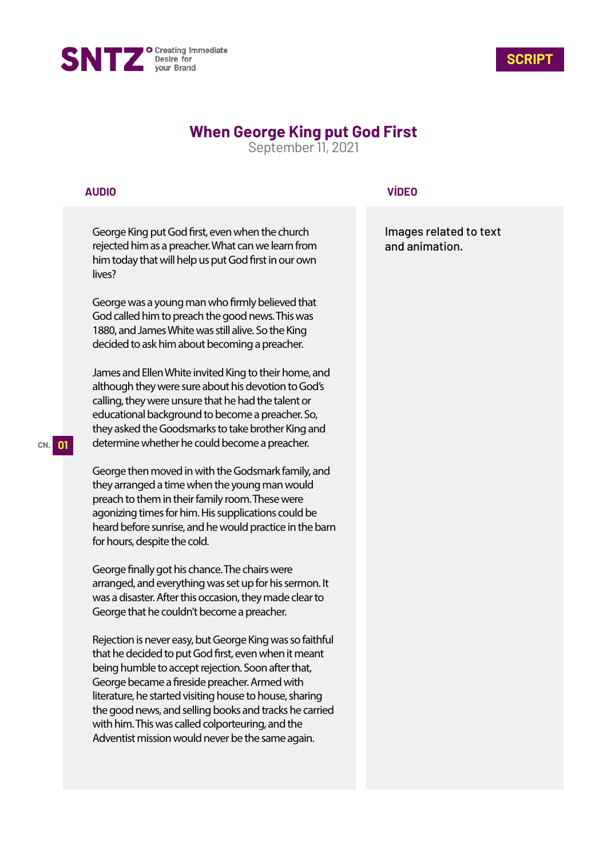



# **When George King put God First**

September 11, 2021

### **AUDIO**

George King put God first, even when the church rejected him as a preacher. What can we learn from him today that will help us put God first in our own lives?

George was a young man who firmly believed that God called him to preach the good news. This was 1880, and James White was still alive. So the King decided to ask him about becoming a preacher.

James and Ellen White invited King to their home, and although they were sure about his devotion to God's calling, they were unsure that he had the talent or educational background to become a preacher. So, they asked the Goodsmarks to take brother King and determine whether he could become a preacher.

George then moved in with the Godsmark family, and they arranged a time when the young man would preach to them in their family room. These were agonizing times for him. His supplications could be heard before sunrise, and he would practice in the barn for hours, despite the cold.

George finally got his chance. The chairs were arranged, and everything was set up for his sermon. It was a disaster. After this occasion, they made clear to George that he couldn't become a preacher.

Rejection is never easy, but George King was so faithful that he decided to put God first, even when it meant being humble to accept rejection. Soon after that, George became a fireside preacher. Armed with literature, he started visiting house to house, sharing the good news, and selling books and tracks he carried with him. This was called colporteuring, and the Adventist mission would never be the same again.

### **VÍDEO**

Images related to text and animation.